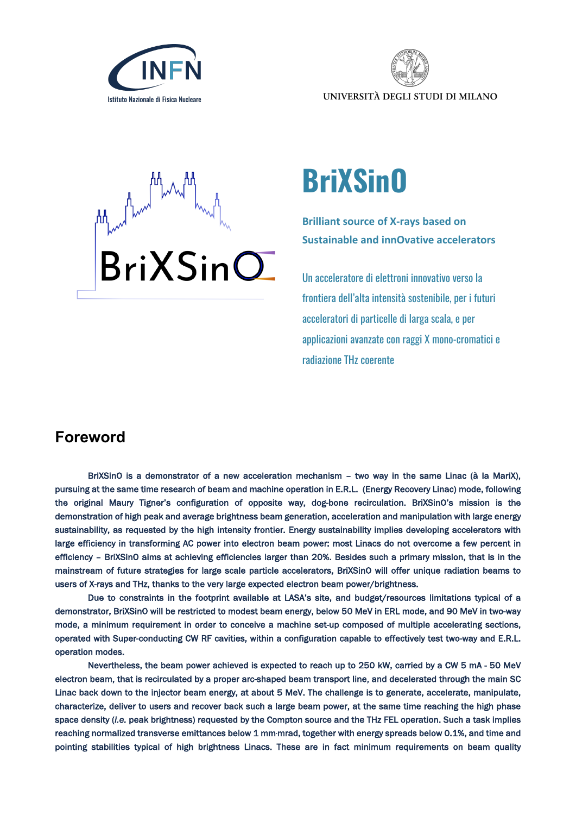



UNIVERSITÀ DEGLI STUDI DI MILANO



## **BriXSinO**

**Brilliant source of X-rays based on Sustainable and innOvative accelerators**

Un acceleratore di elettroni innovativo verso la frontiera dell'alta intensità sostenibile, per i futuri acceleratori di particelle di larga scala, e per applicazioni avanzate con raggi X mono-cromatici e radiazione THz coerente

## **Foreword**

BriXSinO is a demonstrator of a new acceleration mechanism – two way in the same Linac (à la MariX), pursuing at the same time research of beam and machine operation in E.R.L. (Energy Recovery Linac) mode, following the original Maury Tigner's configuration of opposite way, dog-bone recirculation. BriXSinO's mission is the demonstration of high peak and average brightness beam generation, acceleration and manipulation with large energy sustainability, as requested by the high intensity frontier. Energy sustainability implies developing accelerators with large efficiency in transforming AC power into electron beam power: most Linacs do not overcome a few percent in efficiency – BriXSinO aims at achieving efficiencies larger than 20%. Besides such a primary mission, that is in the mainstream of future strategies for large scale particle accelerators, BriXSinO will offer unique radiation beams to users of X-rays and THz, thanks to the very large expected electron beam power/brightness.

Due to constraints in the footprint available at LASA's site, and budget/resources limitations typical of a demonstrator, BriXSinO will be restricted to modest beam energy, below 50 MeV in ERL mode, and 90 MeV in two-way mode, a minimum requirement in order to conceive a machine set-up composed of multiple accelerating sections, operated with Super-conducting CW RF cavities, within a configuration capable to effectively test two-way and E.R.L. operation modes.

Nevertheless, the beam power achieved is expected to reach up to 250 kW, carried by a CW 5 mA - 50 MeV electron beam, that is recirculated by a proper arc-shaped beam transport line, and decelerated through the main SC Linac back down to the injector beam energy, at about 5 MeV. The challenge is to generate, accelerate, manipulate, characterize, deliver to users and recover back such a large beam power, at the same time reaching the high phase space density (*i.e.* peak brightness) requested by the Compton source and the THz FEL operation. Such a task implies reaching normalized transverse emittances below 1 mm·mrad, together with energy spreads below 0.1%, and time and pointing stabilities typical of high brightness Linacs. These are in fact minimum requirements on beam quality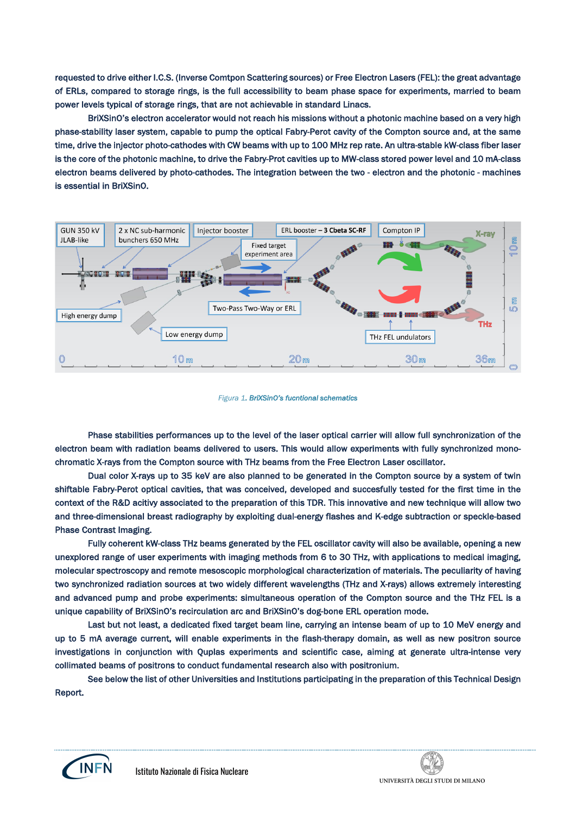requested to drive either I.C.S. (Inverse Comtpon Scattering sources) or Free Electron Lasers (FEL): the great advantage of ERLs, compared to storage rings, is the full accessibility to beam phase space for experiments, married to beam power levels typical of storage rings, that are not achievable in standard Linacs.

BriXSinO's electron accelerator would not reach his missions without a photonic machine based on a very high phase-stability laser system, capable to pump the optical Fabry-Perot cavity of the Compton source and, at the same time, drive the injector photo-cathodes with CW beams with up to 100 MHz rep rate. An ultra-stable kW-class fiber laser is the core of the photonic machine, to drive the Fabry-Prot cavities up to MW-class stored power level and 10 mA-class electron beams delivered by photo-cathodes. The integration between the two - electron and the photonic - machines is essential in BriXSinO.



## *Figura 1. BriXSinO's fucntional schematics*

Phase stabilities performances up to the level of the laser optical carrier will allow full synchronization of the electron beam with radiation beams delivered to users. This would allow experiments with fully synchronized monochromatic X-rays from the Compton source with THz beams from the Free Electron Laser oscillator.

Dual color X-rays up to 35 keV are also planned to be generated in the Compton source by a system of twin shiftable Fabry-Perot optical cavities, that was conceived, developed and succesfully tested for the first time in the context of the R&D acitivy associated to the preparation of this TDR. This innovative and new technique will allow two and three-dimensional breast radiography by exploiting dual-energy flashes and K-edge subtraction or speckle-based Phase Contrast Imaging.

Fully coherent kW-class THz beams generated by the FEL oscillator cavity will also be available, opening a new unexplored range of user experiments with imaging methods from 6 to 30 THz, with applications to medical imaging, molecular spectroscopy and remote mesoscopic morphological characterization of materials. The peculiarity of having two synchronized radiation sources at two widely different wavelengths (THz and X-rays) allows extremely interesting and advanced pump and probe experiments: simultaneous operation of the Compton source and the THz FEL is a unique capability of BriXSinO's recirculation arc and BriXSinO's dog-bone ERL operation mode.

Last but not least, a dedicated fixed target beam line, carrying an intense beam of up to 10 MeV energy and up to 5 mA average current, will enable experiments in the flash-therapy domain, as well as new positron source investigations in conjunction with Quplas experiments and scientific case, aiming at generate ultra-intense very collimated beams of positrons to conduct fundamental research also with positronium.

See below the list of other Universities and Institutions participating in the preparation of this Technical Design Report.